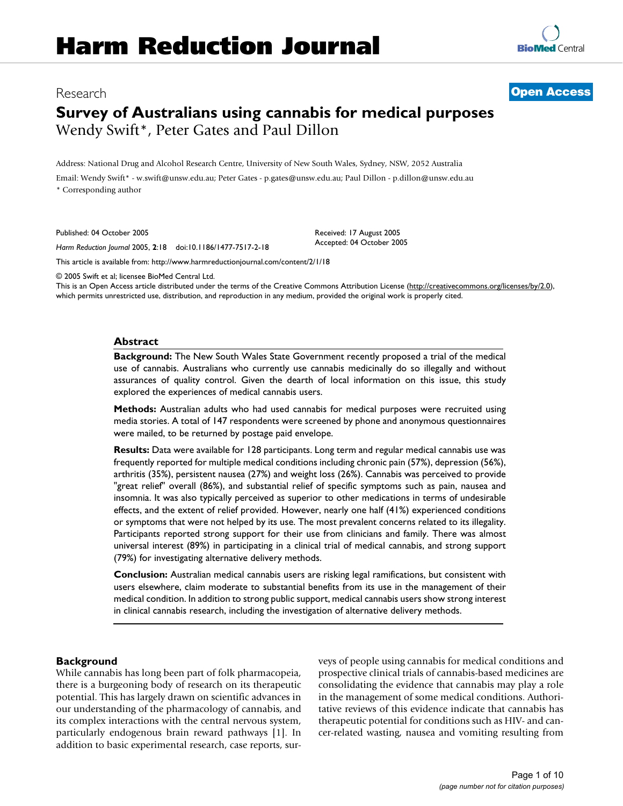## Research **[Open Access](http://www.biomedcentral.com/info/about/charter/)**

# **Survey of Australians using cannabis for medical purposes** Wendy Swift\*, Peter Gates and Paul Dillon

Address: National Drug and Alcohol Research Centre, University of New South Wales, Sydney, NSW, 2052 Australia Email: Wendy Swift\* - w.swift@unsw.edu.au; Peter Gates - p.gates@unsw.edu.au; Paul Dillon - p.dillon@unsw.edu.au \* Corresponding author

Published: 04 October 2005

Received: 17 August 2005 Accepted: 04 October 2005

[This article is available from: http://www.harmreductionjournal.com/content/2/1/18](http://www.harmreductionjournal.com/content/2/1/18)

*Harm Reduction Journal* 2005, **2**:18 doi:10.1186/1477-7517-2-18

© 2005 Swift et al; licensee BioMed Central Ltd.

This is an Open Access article distributed under the terms of the Creative Commons Attribution License [\(http://creativecommons.org/licenses/by/2.0\)](http://creativecommons.org/licenses/by/2.0), which permits unrestricted use, distribution, and reproduction in any medium, provided the original work is properly cited.

#### **Abstract**

**Background:** The New South Wales State Government recently proposed a trial of the medical use of cannabis. Australians who currently use cannabis medicinally do so illegally and without assurances of quality control. Given the dearth of local information on this issue, this study explored the experiences of medical cannabis users.

**Methods:** Australian adults who had used cannabis for medical purposes were recruited using media stories. A total of 147 respondents were screened by phone and anonymous questionnaires were mailed, to be returned by postage paid envelope.

**Results:** Data were available for 128 participants. Long term and regular medical cannabis use was frequently reported for multiple medical conditions including chronic pain (57%), depression (56%), arthritis (35%), persistent nausea (27%) and weight loss (26%). Cannabis was perceived to provide "great relief" overall (86%), and substantial relief of specific symptoms such as pain, nausea and insomnia. It was also typically perceived as superior to other medications in terms of undesirable effects, and the extent of relief provided. However, nearly one half (41%) experienced conditions or symptoms that were not helped by its use. The most prevalent concerns related to its illegality. Participants reported strong support for their use from clinicians and family. There was almost universal interest (89%) in participating in a clinical trial of medical cannabis, and strong support (79%) for investigating alternative delivery methods.

**Conclusion:** Australian medical cannabis users are risking legal ramifications, but consistent with users elsewhere, claim moderate to substantial benefits from its use in the management of their medical condition. In addition to strong public support, medical cannabis users show strong interest in clinical cannabis research, including the investigation of alternative delivery methods.

#### **Background**

While cannabis has long been part of folk pharmacopeia, there is a burgeoning body of research on its therapeutic potential. This has largely drawn on scientific advances in our understanding of the pharmacology of cannabis, and its complex interactions with the central nervous system, particularly endogenous brain reward pathways [1]. In addition to basic experimental research, case reports, surveys of people using cannabis for medical conditions and prospective clinical trials of cannabis-based medicines are consolidating the evidence that cannabis may play a role in the management of some medical conditions. Authoritative reviews of this evidence indicate that cannabis has therapeutic potential for conditions such as HIV- and cancer-related wasting, nausea and vomiting resulting from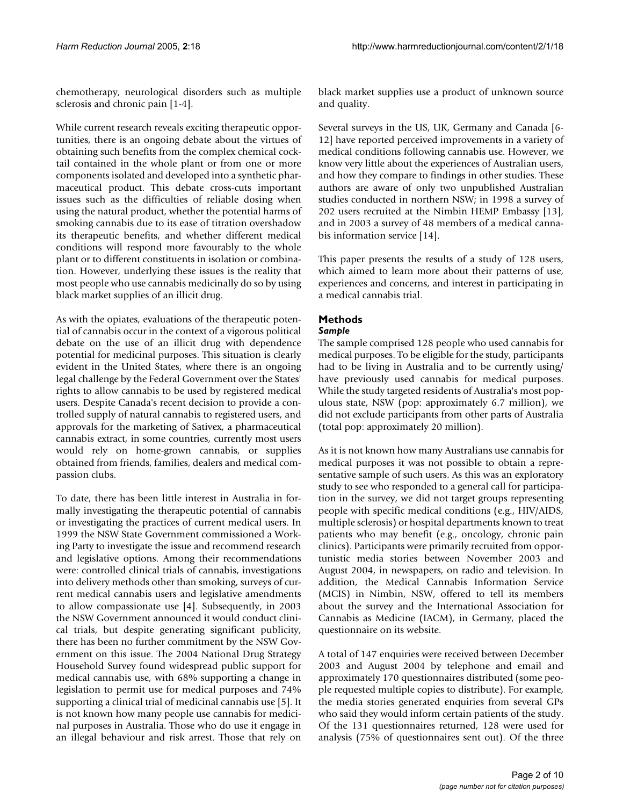chemotherapy, neurological disorders such as multiple sclerosis and chronic pain [1-4].

While current research reveals exciting therapeutic opportunities, there is an ongoing debate about the virtues of obtaining such benefits from the complex chemical cocktail contained in the whole plant or from one or more components isolated and developed into a synthetic pharmaceutical product. This debate cross-cuts important issues such as the difficulties of reliable dosing when using the natural product, whether the potential harms of smoking cannabis due to its ease of titration overshadow its therapeutic benefits, and whether different medical conditions will respond more favourably to the whole plant or to different constituents in isolation or combination. However, underlying these issues is the reality that most people who use cannabis medicinally do so by using black market supplies of an illicit drug.

As with the opiates, evaluations of the therapeutic potential of cannabis occur in the context of a vigorous political debate on the use of an illicit drug with dependence potential for medicinal purposes. This situation is clearly evident in the United States, where there is an ongoing legal challenge by the Federal Government over the States' rights to allow cannabis to be used by registered medical users. Despite Canada's recent decision to provide a controlled supply of natural cannabis to registered users, and approvals for the marketing of Sativex, a pharmaceutical cannabis extract, in some countries, currently most users would rely on home-grown cannabis, or supplies obtained from friends, families, dealers and medical compassion clubs.

To date, there has been little interest in Australia in formally investigating the therapeutic potential of cannabis or investigating the practices of current medical users. In 1999 the NSW State Government commissioned a Working Party to investigate the issue and recommend research and legislative options. Among their recommendations were: controlled clinical trials of cannabis, investigations into delivery methods other than smoking, surveys of current medical cannabis users and legislative amendments to allow compassionate use [4]. Subsequently, in 2003 the NSW Government announced it would conduct clinical trials, but despite generating significant publicity, there has been no further commitment by the NSW Government on this issue. The 2004 National Drug Strategy Household Survey found widespread public support for medical cannabis use, with 68% supporting a change in legislation to permit use for medical purposes and 74% supporting a clinical trial of medicinal cannabis use [5]. It is not known how many people use cannabis for medicinal purposes in Australia. Those who do use it engage in an illegal behaviour and risk arrest. Those that rely on black market supplies use a product of unknown source and quality.

Several surveys in the US, UK, Germany and Canada [6- 12] have reported perceived improvements in a variety of medical conditions following cannabis use. However, we know very little about the experiences of Australian users, and how they compare to findings in other studies. These authors are aware of only two unpublished Australian studies conducted in northern NSW; in 1998 a survey of 202 users recruited at the Nimbin HEMP Embassy [13], and in 2003 a survey of 48 members of a medical cannabis information service [14].

This paper presents the results of a study of 128 users, which aimed to learn more about their patterns of use, experiences and concerns, and interest in participating in a medical cannabis trial.

## **Methods**

## *Sample*

The sample comprised 128 people who used cannabis for medical purposes. To be eligible for the study, participants had to be living in Australia and to be currently using/ have previously used cannabis for medical purposes. While the study targeted residents of Australia's most populous state, NSW (pop: approximately 6.7 million), we did not exclude participants from other parts of Australia (total pop: approximately 20 million).

As it is not known how many Australians use cannabis for medical purposes it was not possible to obtain a representative sample of such users. As this was an exploratory study to see who responded to a general call for participation in the survey, we did not target groups representing people with specific medical conditions (e.g., HIV/AIDS, multiple sclerosis) or hospital departments known to treat patients who may benefit (e.g., oncology, chronic pain clinics). Participants were primarily recruited from opportunistic media stories between November 2003 and August 2004, in newspapers, on radio and television. In addition, the Medical Cannabis Information Service (MCIS) in Nimbin, NSW, offered to tell its members about the survey and the International Association for Cannabis as Medicine (IACM), in Germany, placed the questionnaire on its website.

A total of 147 enquiries were received between December 2003 and August 2004 by telephone and email and approximately 170 questionnaires distributed (some people requested multiple copies to distribute). For example, the media stories generated enquiries from several GPs who said they would inform certain patients of the study. Of the 131 questionnaires returned, 128 were used for analysis (75% of questionnaires sent out). Of the three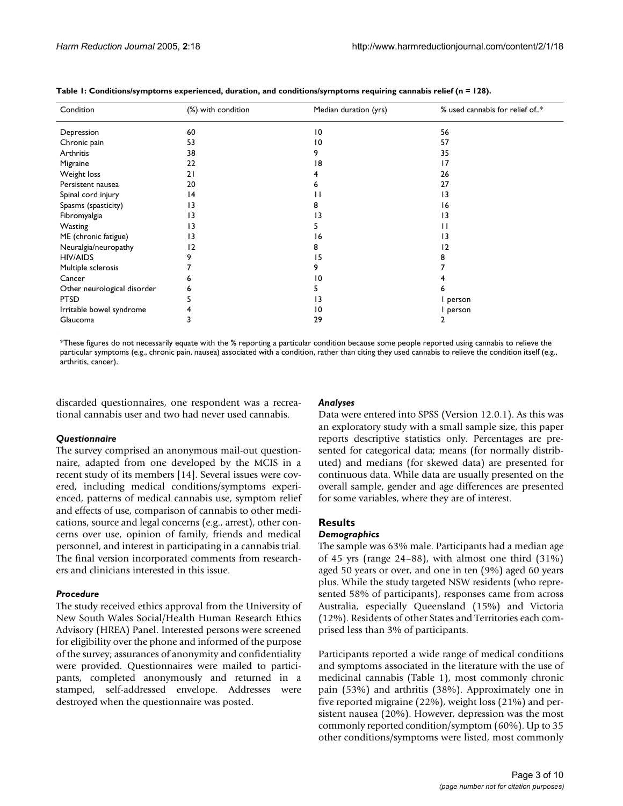| Condition                   | (%) with condition | Median duration (yrs) | % used cannabis for relief of* |
|-----------------------------|--------------------|-----------------------|--------------------------------|
| Depression                  | 60                 | $\overline{10}$       | 56                             |
| Chronic pain                | 53                 | $\overline{10}$       | 57                             |
| Arthritis                   | 38                 | 9                     | 35                             |
| Migraine                    | 22                 | 18                    | 17                             |
| Weight loss                 | 21                 |                       | 26                             |
| Persistent nausea           | 20                 |                       | 27                             |
| Spinal cord injury          | 14                 | п                     | 13                             |
| Spasms (spasticity)         | 13                 | 8                     | 16                             |
| Fibromyalgia                | 13                 | 13                    | 13                             |
| Wasting                     | 13                 |                       |                                |
| ME (chronic fatigue)        | 13                 | 16                    | 13                             |
| Neuralgia/neuropathy        | 2                  | 8                     | 12                             |
| <b>HIV/AIDS</b>             |                    | 15                    |                                |
| Multiple sclerosis          |                    | 9                     |                                |
| Cancer                      |                    | 10                    |                                |
| Other neurological disorder |                    |                       |                                |
| <b>PTSD</b>                 |                    | 13                    | person                         |
| Irritable bowel syndrome    |                    | $\overline{10}$       | l person                       |
| Glaucoma                    |                    | 29                    |                                |

**Table 1: Conditions/symptoms experienced, duration, and conditions/symptoms requiring cannabis relief (n = 128).**

\*These figures do not necessarily equate with the % reporting a particular condition because some people reported using cannabis to relieve the particular symptoms (e.g., chronic pain, nausea) associated with a condition, rather than citing they used cannabis to relieve the condition itself (e.g., arthritis, cancer).

discarded questionnaires, one respondent was a recreational cannabis user and two had never used cannabis.

#### *Questionnaire*

The survey comprised an anonymous mail-out questionnaire, adapted from one developed by the MCIS in a recent study of its members [14]. Several issues were covered, including medical conditions/symptoms experienced, patterns of medical cannabis use, symptom relief and effects of use, comparison of cannabis to other medications, source and legal concerns (e.g., arrest), other concerns over use, opinion of family, friends and medical personnel, and interest in participating in a cannabis trial. The final version incorporated comments from researchers and clinicians interested in this issue.

#### *Procedure*

The study received ethics approval from the University of New South Wales Social/Health Human Research Ethics Advisory (HREA) Panel. Interested persons were screened for eligibility over the phone and informed of the purpose of the survey; assurances of anonymity and confidentiality were provided. Questionnaires were mailed to participants, completed anonymously and returned in a stamped, self-addressed envelope. Addresses were destroyed when the questionnaire was posted.

### *Analyses*

Data were entered into SPSS (Version 12.0.1). As this was an exploratory study with a small sample size, this paper reports descriptive statistics only. Percentages are presented for categorical data; means (for normally distributed) and medians (for skewed data) are presented for continuous data. While data are usually presented on the overall sample, gender and age differences are presented for some variables, where they are of interest.

## **Results**

#### *Demographics*

The sample was 63% male. Participants had a median age of 45 yrs (range 24–88), with almost one third (31%) aged 50 years or over, and one in ten (9%) aged 60 years plus. While the study targeted NSW residents (who represented 58% of participants), responses came from across Australia, especially Queensland (15%) and Victoria (12%). Residents of other States and Territories each comprised less than 3% of participants.

Participants reported a wide range of medical conditions and symptoms associated in the literature with the use of medicinal cannabis (Table 1), most commonly chronic pain (53%) and arthritis (38%). Approximately one in five reported migraine (22%), weight loss (21%) and persistent nausea (20%). However, depression was the most commonly reported condition/symptom (60%). Up to 35 other conditions/symptoms were listed, most commonly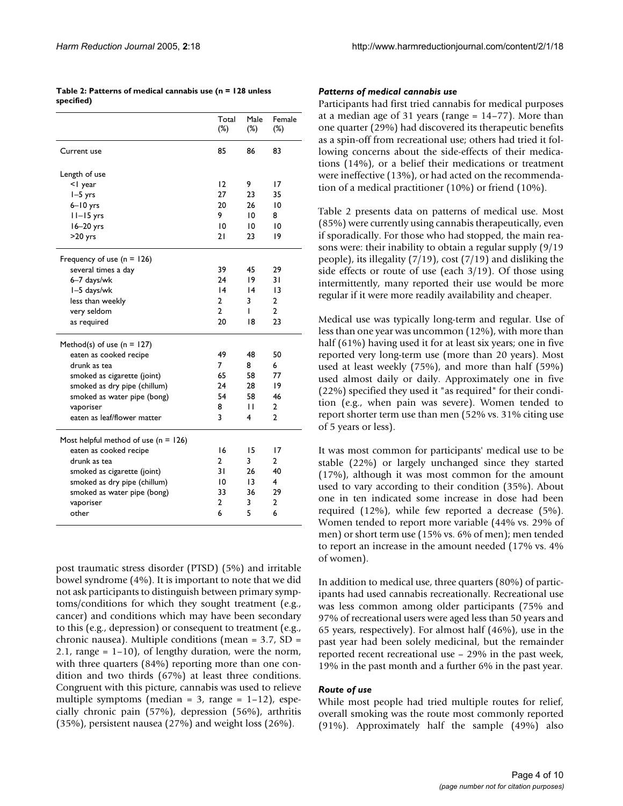|                                        | Total<br>$(\%)$ | Male<br>$(\%)$  | Female<br>$(\%)$ |
|----------------------------------------|-----------------|-----------------|------------------|
| Current use                            | 85              | 86              | 83               |
| Length of use                          |                 |                 |                  |
| <1 year                                | $\overline{2}$  | 9               | 17               |
| $I-5$ yrs                              | 27              | 23              | 35               |
| $6 - 10$ yrs                           | 20              | 26              | 10               |
| $11 - 15$ yrs                          | 9               | 10              | 8                |
| $16-20$ yrs                            | 10              | 10              | 10               |
| $>20$ yrs                              | 21              | 23              | 19               |
| Frequency of use $(n = 126)$           |                 |                 |                  |
| several times a day                    | 39              | 45              | 29               |
| 6–7 days/wk                            | 24              | 19              | 31               |
| I-5 days/wk                            | 4               | $\overline{14}$ | 13               |
| less than weekly                       | $\overline{2}$  | 3               | 2                |
| very seldom                            | $\overline{2}$  | I               | $\mathcal{P}$    |
| as required                            | 20              | 18              | 23               |
| Method(s) of use $(n = 127)$           |                 |                 |                  |
| eaten as cooked recipe                 | 49              | 48              | 50               |
| drunk as tea                           | 7               | 8               | 6                |
| smoked as cigarette (joint)            | 65              | 58              | 77               |
| smoked as dry pipe (chillum)           | 24              | 28              | 19               |
| smoked as water pipe (bong)            | 54              | 58              | 46               |
| vaporiser                              | 8               | П               | 2                |
| eaten as leaf/flower matter            | 3               | 4               | 2                |
| Most helpful method of use $(n = 126)$ |                 |                 |                  |
| eaten as cooked recipe                 | 16              | 15              | 17               |
| drunk as tea                           | 2               | 3               | 2                |
| smoked as cigarette (joint)            | 31              | 26              | 40               |
| smoked as dry pipe (chillum)           | 10              | 13              | 4                |
| smoked as water pipe (bong)            | 33              | 36              | 29               |
| vaporiser                              | 2               | 3               | 2                |
| other                                  | 6               | 5               | 6                |

**Table 2: Patterns of medical cannabis use (n = 128 unless specified)**

post traumatic stress disorder (PTSD) (5%) and irritable bowel syndrome (4%). It is important to note that we did not ask participants to distinguish between primary symptoms/conditions for which they sought treatment (e.g., cancer) and conditions which may have been secondary to this (e.g., depression) or consequent to treatment (e.g., chronic nausea). Multiple conditions (mean = 3.7, SD = 2.1, range =  $1-10$ ), of lengthy duration, were the norm, with three quarters (84%) reporting more than one condition and two thirds (67%) at least three conditions. Congruent with this picture, cannabis was used to relieve multiple symptoms (median =  $3$ , range =  $1-12$ ), especially chronic pain (57%), depression (56%), arthritis (35%), persistent nausea (27%) and weight loss (26%).

### *Patterns of medical cannabis use*

Participants had first tried cannabis for medical purposes at a median age of 31 years (range  $= 14-77$ ). More than one quarter (29%) had discovered its therapeutic benefits as a spin-off from recreational use; others had tried it following concerns about the side-effects of their medications (14%), or a belief their medications or treatment were ineffective (13%), or had acted on the recommendation of a medical practitioner (10%) or friend (10%).

Table 2 presents data on patterns of medical use. Most (85%) were currently using cannabis therapeutically, even if sporadically. For those who had stopped, the main reasons were: their inability to obtain a regular supply (9/19 people), its illegality  $(7/19)$ , cost  $(7/19)$  and disliking the side effects or route of use (each 3/19). Of those using intermittently, many reported their use would be more regular if it were more readily availability and cheaper.

Medical use was typically long-term and regular. Use of less than one year was uncommon (12%), with more than half (61%) having used it for at least six years; one in five reported very long-term use (more than 20 years). Most used at least weekly (75%), and more than half (59%) used almost daily or daily. Approximately one in five (22%) specified they used it "as required" for their condition (e.g., when pain was severe). Women tended to report shorter term use than men (52% vs. 31% citing use of 5 years or less).

It was most common for participants' medical use to be stable (22%) or largely unchanged since they started (17%), although it was most common for the amount used to vary according to their condition (35%). About one in ten indicated some increase in dose had been required (12%), while few reported a decrease (5%). Women tended to report more variable (44% vs. 29% of men) or short term use (15% vs. 6% of men); men tended to report an increase in the amount needed (17% vs. 4% of women).

In addition to medical use, three quarters (80%) of participants had used cannabis recreationally. Recreational use was less common among older participants (75% and 97% of recreational users were aged less than 50 years and 65 years, respectively). For almost half (46%), use in the past year had been solely medicinal, but the remainder reported recent recreational use – 29% in the past week, 19% in the past month and a further 6% in the past year.

#### *Route of use*

While most people had tried multiple routes for relief, overall smoking was the route most commonly reported (91%). Approximately half the sample (49%) also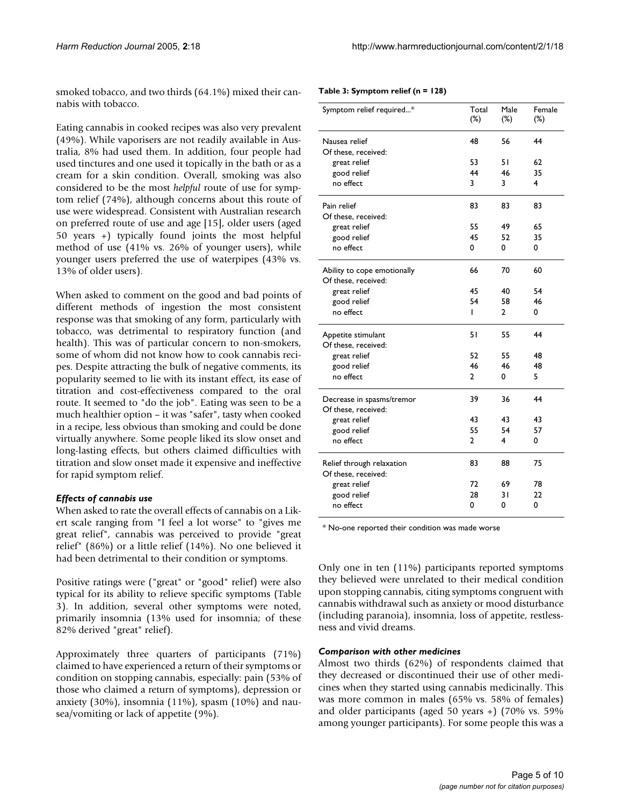smoked tobacco, and two thirds (64.1%) mixed their cannabis with tobacco.

Eating cannabis in cooked recipes was also very prevalent (49%). While vaporisers are not readily available in Australia, 8% had used them. In addition, four people had used tinctures and one used it topically in the bath or as a cream for a skin condition. Overall, smoking was also considered to be the most *helpful* route of use for symptom relief (74%), although concerns about this route of use were widespread. Consistent with Australian research on preferred route of use and age [15], older users (aged 50 years +) typically found joints the most helpful method of use (41% vs. 26% of younger users), while younger users preferred the use of waterpipes (43% vs. 13% of older users).

When asked to comment on the good and bad points of different methods of ingestion the most consistent response was that smoking of any form, particularly with tobacco, was detrimental to respiratory function (and health). This was of particular concern to non-smokers, some of whom did not know how to cook cannabis recipes. Despite attracting the bulk of negative comments, its popularity seemed to lie with its instant effect, its ease of titration and cost-effectiveness compared to the oral route. It seemed to "do the job". Eating was seen to be a much healthier option – it was "safer", tasty when cooked in a recipe, less obvious than smoking and could be done virtually anywhere. Some people liked its slow onset and long-lasting effects, but others claimed difficulties with titration and slow onset made it expensive and ineffective for rapid symptom relief.

## *Effects of cannabis use*

When asked to rate the overall effects of cannabis on a Likert scale ranging from "I feel a lot worse" to "gives me great relief", cannabis was perceived to provide "great relief" (86%) or a little relief (14%). No one believed it had been detrimental to their condition or symptoms.

Positive ratings were ("great" or "good" relief) were also typical for its ability to relieve specific symptoms (Table [3\)](#page-4-0). In addition, several other symptoms were noted, primarily insomnia (13% used for insomnia; of these 82% derived "great" relief).

Approximately three quarters of participants (71%) claimed to have experienced a return of their symptoms or condition on stopping cannabis, especially: pain (53% of those who claimed a return of symptoms), depression or anxiety (30%), insomnia (11%), spasm (10%) and nausea/vomiting or lack of appetite (9%).

#### <span id="page-4-0"></span>**Table 3: Symptom relief (n = 128)**

| Symptom relief required*    | Total          | Male           | Female |
|-----------------------------|----------------|----------------|--------|
|                             | $(\%)$         | $(\%)$         | $(\%)$ |
| Nausea relief               | 48             | 56             | 44     |
| Of these, received:         |                |                |        |
| great relief                | 53             | 51             | 62     |
| good relief                 | 44             | 46             | 35     |
| no effect                   | 3              | 3              | 4      |
|                             |                |                |        |
| Pain relief                 | 83             | 83             | 83     |
| Of these, received:         |                |                |        |
| great relief                | 55             | 49             | 65     |
| good relief                 | 45             | 52             | 35     |
| no effect                   | 0              | 0              | 0      |
| Ability to cope emotionally | 66             | 70             | 60     |
| Of these, received:         |                |                |        |
| great relief                | 45             | 40             | 54     |
| good relief                 | 54             | 58             | 46     |
| no effect                   | ı              | $\overline{2}$ | 0      |
| Appetite stimulant          | 51             | 55             | 44     |
| Of these, received:         |                |                |        |
| great relief                | 52             | 55             | 48     |
| good relief                 | 46             | 46             | 48     |
| no effect                   | $\overline{2}$ | 0              | 5      |
| Decrease in spasms/tremor   | 39             | 36             | 44     |
| Of these, received:         |                |                |        |
| great relief                | 43             | 43             | 43     |
| good relief                 | 55             | 54             | 57     |
| no effect                   | $\mathbf{2}$   | 4              | 0      |
| Relief through relaxation   | 83             | 88             | 75     |
| Of these, received:         |                |                |        |
| great relief                | 72             | 69             | 78     |
| good relief                 | 28             | 31             | 22     |
| no effect                   | 0              | 0              | 0      |
|                             |                |                |        |

\* No-one reported their condition was made worse

Only one in ten (11%) participants reported symptoms they believed were unrelated to their medical condition upon stopping cannabis, citing symptoms congruent with cannabis withdrawal such as anxiety or mood disturbance (including paranoia), insomnia, loss of appetite, restlessness and vivid dreams.

#### *Comparison with other medicines*

Almost two thirds (62%) of respondents claimed that they decreased or discontinued their use of other medicines when they started using cannabis medicinally. This was more common in males (65% vs. 58% of females) and older participants (aged 50 years +) (70% vs. 59% among younger participants). For some people this was a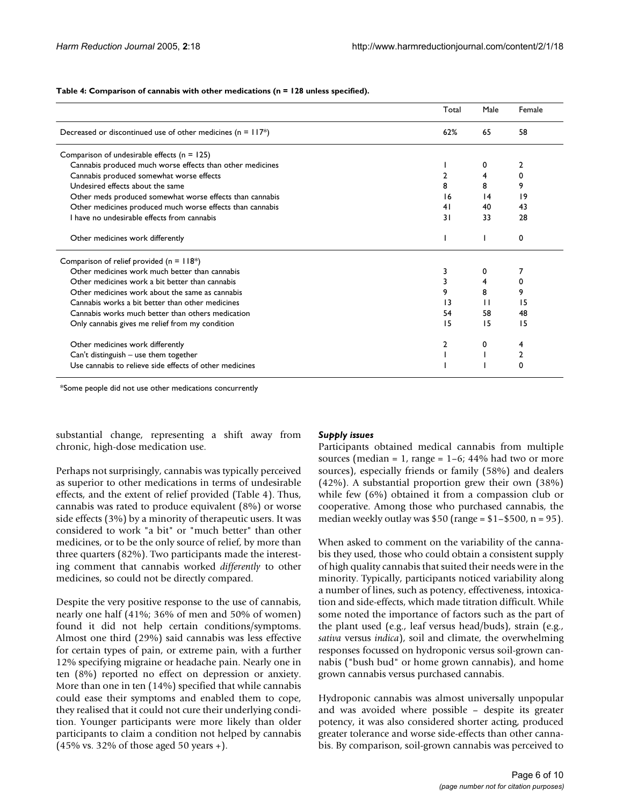| Table 4: Comparison of cannabis with other medications (n = 128 unless specified). |  |  |
|------------------------------------------------------------------------------------|--|--|
|------------------------------------------------------------------------------------|--|--|

|                                                                             | Total | Male         | Female          |
|-----------------------------------------------------------------------------|-------|--------------|-----------------|
| Decreased or discontinued use of other medicines ( $n = 117$ <sup>*</sup> ) | 62%   | 65           | 58              |
| Comparison of undesirable effects ( $n = 125$ )                             |       |              |                 |
| Cannabis produced much worse effects than other medicines                   |       | 0            | 2               |
| Cannabis produced somewhat worse effects                                    | 2     | 4            | 0               |
| Undesired effects about the same                                            | 8     | 8            | 9               |
| Other meds produced somewhat worse effects than cannabis                    | 16    | 4            | $\overline{19}$ |
| Other medicines produced much worse effects than cannabis                   | 41    | 40           | 43              |
| I have no undesirable effects from cannabis                                 | 31    | 33           | 28              |
| Other medicines work differently                                            |       |              | 0               |
| Comparison of relief provided ( $n = 118$ <sup>*</sup> )                    |       |              |                 |
| Other medicines work much better than cannabis                              | 3     | 0            | 7               |
| Other medicines work a bit better than cannabis                             | 3     | 4            | O               |
| Other medicines work about the same as cannabis                             | 9     | 8            | 9               |
| Cannabis works a bit better than other medicines                            | 13    | $\mathbf{H}$ | 15              |
| Cannabis works much better than others medication                           | 54    | 58           | 48              |
| Only cannabis gives me relief from my condition                             | 15    | 15           | 15              |
| Other medicines work differently                                            | 2     | 0            | 4               |
| Can't distinguish $-$ use them together                                     |       |              | 2               |
| Use cannabis to relieve side effects of other medicines                     |       |              | 0               |

\*Some people did not use other medications concurrently

substantial change, representing a shift away from chronic, high-dose medication use.

Perhaps not surprisingly, cannabis was typically perceived as superior to other medications in terms of undesirable effects, and the extent of relief provided (Table 4). Thus, cannabis was rated to produce equivalent (8%) or worse side effects (3%) by a minority of therapeutic users. It was considered to work "a bit" or "much better" than other medicines, or to be the only source of relief, by more than three quarters (82%). Two participants made the interesting comment that cannabis worked *differently* to other medicines, so could not be directly compared.

Despite the very positive response to the use of cannabis, nearly one half (41%; 36% of men and 50% of women) found it did not help certain conditions/symptoms. Almost one third (29%) said cannabis was less effective for certain types of pain, or extreme pain, with a further 12% specifying migraine or headache pain. Nearly one in ten (8%) reported no effect on depression or anxiety. More than one in ten (14%) specified that while cannabis could ease their symptoms and enabled them to cope, they realised that it could not cure their underlying condition. Younger participants were more likely than older participants to claim a condition not helped by cannabis (45% vs. 32% of those aged 50 years +).

#### *Supply issues*

Participants obtained medical cannabis from multiple sources (median = 1, range =  $1-6$ ; 44% had two or more sources), especially friends or family (58%) and dealers (42%). A substantial proportion grew their own (38%) while few (6%) obtained it from a compassion club or cooperative. Among those who purchased cannabis, the median weekly outlay was  $$50$  (range =  $$1-\$500$ , n = 95).

When asked to comment on the variability of the cannabis they used, those who could obtain a consistent supply of high quality cannabis that suited their needs were in the minority. Typically, participants noticed variability along a number of lines, such as potency, effectiveness, intoxication and side-effects, which made titration difficult. While some noted the importance of factors such as the part of the plant used (e.g., leaf versus head/buds), strain (e.g., *sativa* versus *indica*), soil and climate, the overwhelming responses focussed on hydroponic versus soil-grown cannabis ("bush bud" or home grown cannabis), and home grown cannabis versus purchased cannabis.

Hydroponic cannabis was almost universally unpopular and was avoided where possible – despite its greater potency, it was also considered shorter acting, produced greater tolerance and worse side-effects than other cannabis. By comparison, soil-grown cannabis was perceived to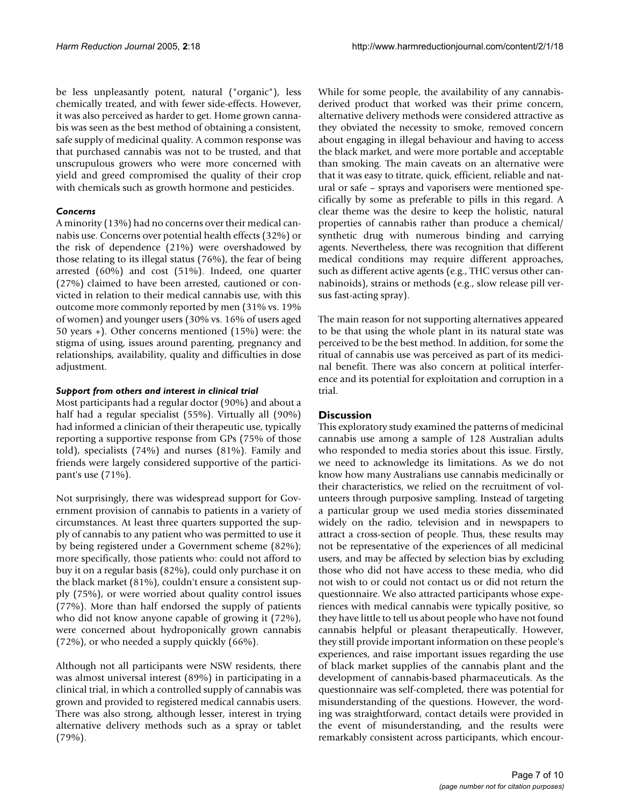be less unpleasantly potent, natural ("organic"), less chemically treated, and with fewer side-effects. However, it was also perceived as harder to get. Home grown cannabis was seen as the best method of obtaining a consistent, safe supply of medicinal quality. A common response was that purchased cannabis was not to be trusted, and that unscrupulous growers who were more concerned with yield and greed compromised the quality of their crop with chemicals such as growth hormone and pesticides.

## *Concerns*

A minority (13%) had no concerns over their medical cannabis use. Concerns over potential health effects (32%) or the risk of dependence (21%) were overshadowed by those relating to its illegal status (76%), the fear of being arrested (60%) and cost (51%). Indeed, one quarter (27%) claimed to have been arrested, cautioned or convicted in relation to their medical cannabis use, with this outcome more commonly reported by men (31% vs. 19% of women) and younger users (30% vs. 16% of users aged 50 years +). Other concerns mentioned (15%) were: the stigma of using, issues around parenting, pregnancy and relationships, availability, quality and difficulties in dose adjustment.

## *Support from others and interest in clinical trial*

Most participants had a regular doctor (90%) and about a half had a regular specialist (55%). Virtually all (90%) had informed a clinician of their therapeutic use, typically reporting a supportive response from GPs (75% of those told), specialists (74%) and nurses (81%). Family and friends were largely considered supportive of the participant's use (71%).

Not surprisingly, there was widespread support for Government provision of cannabis to patients in a variety of circumstances. At least three quarters supported the supply of cannabis to any patient who was permitted to use it by being registered under a Government scheme (82%); more specifically, those patients who: could not afford to buy it on a regular basis (82%), could only purchase it on the black market (81%), couldn't ensure a consistent supply (75%), or were worried about quality control issues (77%). More than half endorsed the supply of patients who did not know anyone capable of growing it (72%), were concerned about hydroponically grown cannabis (72%), or who needed a supply quickly (66%).

Although not all participants were NSW residents, there was almost universal interest (89%) in participating in a clinical trial, in which a controlled supply of cannabis was grown and provided to registered medical cannabis users. There was also strong, although lesser, interest in trying alternative delivery methods such as a spray or tablet  $(79%)$ .

While for some people, the availability of any cannabisderived product that worked was their prime concern, alternative delivery methods were considered attractive as they obviated the necessity to smoke, removed concern about engaging in illegal behaviour and having to access the black market, and were more portable and acceptable than smoking. The main caveats on an alternative were that it was easy to titrate, quick, efficient, reliable and natural or safe – sprays and vaporisers were mentioned specifically by some as preferable to pills in this regard. A clear theme was the desire to keep the holistic, natural properties of cannabis rather than produce a chemical/ synthetic drug with numerous binding and carrying agents. Nevertheless, there was recognition that different medical conditions may require different approaches, such as different active agents (e.g., THC versus other cannabinoids), strains or methods (e.g., slow release pill versus fast-acting spray).

The main reason for not supporting alternatives appeared to be that using the whole plant in its natural state was perceived to be the best method. In addition, for some the ritual of cannabis use was perceived as part of its medicinal benefit. There was also concern at political interference and its potential for exploitation and corruption in a trial.

## **Discussion**

This exploratory study examined the patterns of medicinal cannabis use among a sample of 128 Australian adults who responded to media stories about this issue. Firstly, we need to acknowledge its limitations. As we do not know how many Australians use cannabis medicinally or their characteristics, we relied on the recruitment of volunteers through purposive sampling. Instead of targeting a particular group we used media stories disseminated widely on the radio, television and in newspapers to attract a cross-section of people. Thus, these results may not be representative of the experiences of all medicinal users, and may be affected by selection bias by excluding those who did not have access to these media, who did not wish to or could not contact us or did not return the questionnaire. We also attracted participants whose experiences with medical cannabis were typically positive, so they have little to tell us about people who have not found cannabis helpful or pleasant therapeutically. However, they still provide important information on these people's experiences, and raise important issues regarding the use of black market supplies of the cannabis plant and the development of cannabis-based pharmaceuticals. As the questionnaire was self-completed, there was potential for misunderstanding of the questions. However, the wording was straightforward, contact details were provided in the event of misunderstanding, and the results were remarkably consistent across participants, which encour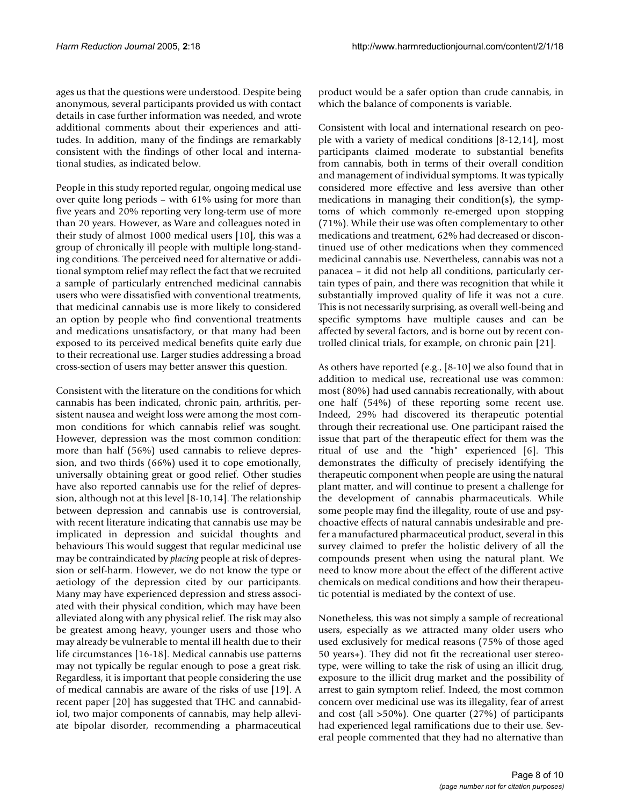ages us that the questions were understood. Despite being anonymous, several participants provided us with contact details in case further information was needed, and wrote additional comments about their experiences and attitudes. In addition, many of the findings are remarkably consistent with the findings of other local and international studies, as indicated below.

People in this study reported regular, ongoing medical use over quite long periods – with 61% using for more than five years and 20% reporting very long-term use of more than 20 years. However, as Ware and colleagues noted in their study of almost 1000 medical users [10], this was a group of chronically ill people with multiple long-standing conditions. The perceived need for alternative or additional symptom relief may reflect the fact that we recruited a sample of particularly entrenched medicinal cannabis users who were dissatisfied with conventional treatments, that medicinal cannabis use is more likely to considered an option by people who find conventional treatments and medications unsatisfactory, or that many had been exposed to its perceived medical benefits quite early due to their recreational use. Larger studies addressing a broad cross-section of users may better answer this question.

Consistent with the literature on the conditions for which cannabis has been indicated, chronic pain, arthritis, persistent nausea and weight loss were among the most common conditions for which cannabis relief was sought. However, depression was the most common condition: more than half (56%) used cannabis to relieve depression, and two thirds (66%) used it to cope emotionally, universally obtaining great or good relief. Other studies have also reported cannabis use for the relief of depression, although not at this level [8-10,14]. The relationship between depression and cannabis use is controversial, with recent literature indicating that cannabis use may be implicated in depression and suicidal thoughts and behaviours This would suggest that regular medicinal use may be contraindicated by *placing* people at risk of depression or self-harm. However, we do not know the type or aetiology of the depression cited by our participants. Many may have experienced depression and stress associated with their physical condition, which may have been alleviated along with any physical relief. The risk may also be greatest among heavy, younger users and those who may already be vulnerable to mental ill health due to their life circumstances [16-18]. Medical cannabis use patterns may not typically be regular enough to pose a great risk. Regardless, it is important that people considering the use of medical cannabis are aware of the risks of use [19]. A recent paper [20] has suggested that THC and cannabidiol, two major components of cannabis, may help alleviate bipolar disorder, recommending a pharmaceutical

product would be a safer option than crude cannabis, in which the balance of components is variable.

Consistent with local and international research on people with a variety of medical conditions [8-12,14], most participants claimed moderate to substantial benefits from cannabis, both in terms of their overall condition and management of individual symptoms. It was typically considered more effective and less aversive than other medications in managing their condition(s), the symptoms of which commonly re-emerged upon stopping (71%). While their use was often complementary to other medications and treatment, 62% had decreased or discontinued use of other medications when they commenced medicinal cannabis use. Nevertheless, cannabis was not a panacea – it did not help all conditions, particularly certain types of pain, and there was recognition that while it substantially improved quality of life it was not a cure. This is not necessarily surprising, as overall well-being and specific symptoms have multiple causes and can be affected by several factors, and is borne out by recent controlled clinical trials, for example, on chronic pain [21].

As others have reported (e.g., [8-10] we also found that in addition to medical use, recreational use was common: most (80%) had used cannabis recreationally, with about one half (54%) of these reporting some recent use. Indeed, 29% had discovered its therapeutic potential through their recreational use. One participant raised the issue that part of the therapeutic effect for them was the ritual of use and the "high" experienced [6]. This demonstrates the difficulty of precisely identifying the therapeutic component when people are using the natural plant matter, and will continue to present a challenge for the development of cannabis pharmaceuticals. While some people may find the illegality, route of use and psychoactive effects of natural cannabis undesirable and prefer a manufactured pharmaceutical product, several in this survey claimed to prefer the holistic delivery of all the compounds present when using the natural plant. We need to know more about the effect of the different active chemicals on medical conditions and how their therapeutic potential is mediated by the context of use.

Nonetheless, this was not simply a sample of recreational users, especially as we attracted many older users who used exclusively for medical reasons (75% of those aged 50 years+). They did not fit the recreational user stereotype, were willing to take the risk of using an illicit drug, exposure to the illicit drug market and the possibility of arrest to gain symptom relief. Indeed, the most common concern over medicinal use was its illegality, fear of arrest and cost (all >50%). One quarter (27%) of participants had experienced legal ramifications due to their use. Several people commented that they had no alternative than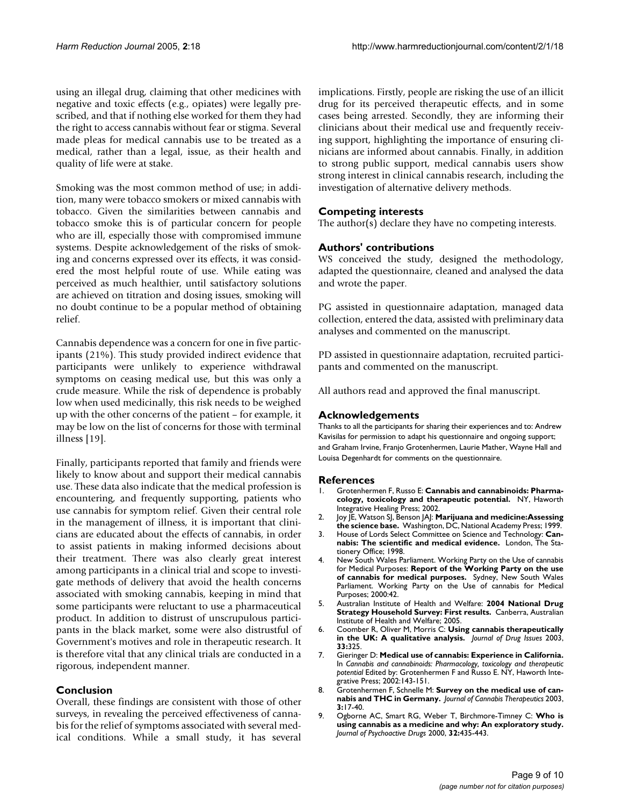using an illegal drug, claiming that other medicines with negative and toxic effects (e.g., opiates) were legally prescribed, and that if nothing else worked for them they had the right to access cannabis without fear or stigma. Several made pleas for medical cannabis use to be treated as a medical, rather than a legal, issue, as their health and quality of life were at stake.

Smoking was the most common method of use; in addition, many were tobacco smokers or mixed cannabis with tobacco. Given the similarities between cannabis and tobacco smoke this is of particular concern for people who are ill, especially those with compromised immune systems. Despite acknowledgement of the risks of smoking and concerns expressed over its effects, it was considered the most helpful route of use. While eating was perceived as much healthier, until satisfactory solutions are achieved on titration and dosing issues, smoking will no doubt continue to be a popular method of obtaining relief.

Cannabis dependence was a concern for one in five participants (21%). This study provided indirect evidence that participants were unlikely to experience withdrawal symptoms on ceasing medical use, but this was only a crude measure. While the risk of dependence is probably low when used medicinally, this risk needs to be weighed up with the other concerns of the patient – for example, it may be low on the list of concerns for those with terminal illness [19].

Finally, participants reported that family and friends were likely to know about and support their medical cannabis use. These data also indicate that the medical profession is encountering, and frequently supporting, patients who use cannabis for symptom relief. Given their central role in the management of illness, it is important that clinicians are educated about the effects of cannabis, in order to assist patients in making informed decisions about their treatment. There was also clearly great interest among participants in a clinical trial and scope to investigate methods of delivery that avoid the health concerns associated with smoking cannabis, keeping in mind that some participants were reluctant to use a pharmaceutical product. In addition to distrust of unscrupulous participants in the black market, some were also distrustful of Government's motives and role in therapeutic research. It is therefore vital that any clinical trials are conducted in a rigorous, independent manner.

## **Conclusion**

Overall, these findings are consistent with those of other surveys, in revealing the perceived effectiveness of cannabis for the relief of symptoms associated with several medical conditions. While a small study, it has several implications. Firstly, people are risking the use of an illicit drug for its perceived therapeutic effects, and in some cases being arrested. Secondly, they are informing their clinicians about their medical use and frequently receiving support, highlighting the importance of ensuring clinicians are informed about cannabis. Finally, in addition to strong public support, medical cannabis users show strong interest in clinical cannabis research, including the investigation of alternative delivery methods.

## **Competing interests**

The author(s) declare they have no competing interests.

## **Authors' contributions**

WS conceived the study, designed the methodology, adapted the questionnaire, cleaned and analysed the data and wrote the paper.

PG assisted in questionnaire adaptation, managed data collection, entered the data, assisted with preliminary data analyses and commented on the manuscript.

PD assisted in questionnaire adaptation, recruited participants and commented on the manuscript.

All authors read and approved the final manuscript.

## **Acknowledgements**

Thanks to all the participants for sharing their experiences and to: Andrew Kavisilas for permission to adapt his questionnaire and ongoing support; and Graham Irvine, Franjo Grotenhermen, Laurie Mather, Wayne Hall and Louisa Degenhardt for comments on the questionnaire.

#### **References**

- 1. Grotenhermen F, Russo E: **Cannabis and cannabinoids: Pharmacology, toxicology and therapeutic potential.** NY, Haworth Integrative Healing Press; 2002.
- 2. Joy JE, Watson SJ, Benson JAJ: **Marijuana and medicine:Assessing the science base.** Washington, DC, National Academy Press; 1999.
- 3. House of Lords Select Committee on Science and Technology: **Cannabis: The scientific and medical evidence.** London, The Stationery Office; 1998.
- 4. New South Wales Parliament. Working Party on the Use of cannabis for Medical Purposes: **Report of the Working Party on the use of cannabis for medical purposes.** Sydney, New South Wales Parliament. Working Party on the Use of cannabis for Medical Purposes; 2000:42.
- 5. Australian Institute of Health and Welfare: **2004 National Drug Strategy Household Survey: First results.** Canberra, Australian Institute of Health and Welfare; 2005.
- 6. Coomber R, Oliver M, Morris C: **Using cannabis therapeutically in the UK: A qualitative analysis.** *Journal of Drug Issues* 2003, **33:**325.
- 7. Gieringer D: **Medical use of cannabis: Experience in California.** In *Cannabis and cannabinoids: Pharmacology, toxicology and therapeutic potential* Edited by: Grotenhermen F and Russo E. NY, Haworth Integrative Press; 2002:143-151.
- 8. Grotenhermen F, Schnelle M: **Survey on the medical use of cannabis and THC in Germany.** *Journal of Cannabis Therapeutics* 2003, **3:**17-40.
- 9. Ogborne AC, Smart RG, Weber T, Birchmore-Timney C: **[Who is](http://www.ncbi.nlm.nih.gov/entrez/query.fcgi?cmd=Retrieve&db=PubMed&dopt=Abstract&list_uids=11210205) [using cannabis as a medicine and why: An exploratory study.](http://www.ncbi.nlm.nih.gov/entrez/query.fcgi?cmd=Retrieve&db=PubMed&dopt=Abstract&list_uids=11210205)** *Journal of Psychoactive Drugs* 2000, **32:**435-443.